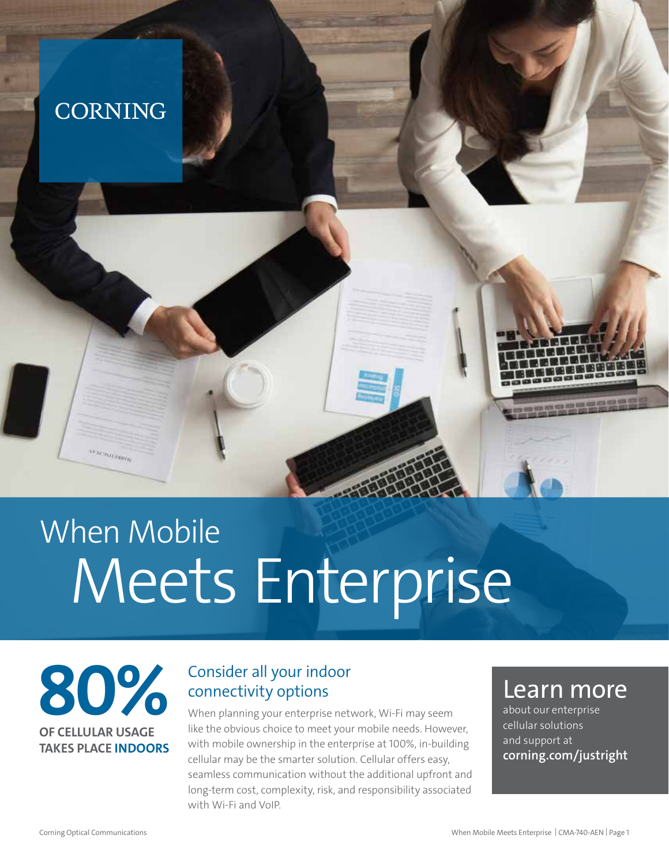## **CORNING**

# When Mobile Meets Enterprise

## **80% OF CELLULAR USAGE TAKES PLACE INDOORS**

**VESTON/EXPITE** 

## Consider all your indoor connectivity options

When planning your enterprise network, Wi-Fi may seem like the obvious choice to meet your mobile needs. However, with mobile ownership in the enterprise at 100%, in-building cellular may be the smarter solution. Cellular offers easy, seamless communication without the additional upfront and long-term cost, complexity, risk, and responsibility associated with Wi-Fi and VoIP.

## Learn more

about our enterprise cellular solutions and support at **[corning.com/justright](http://corning.com/justright)**